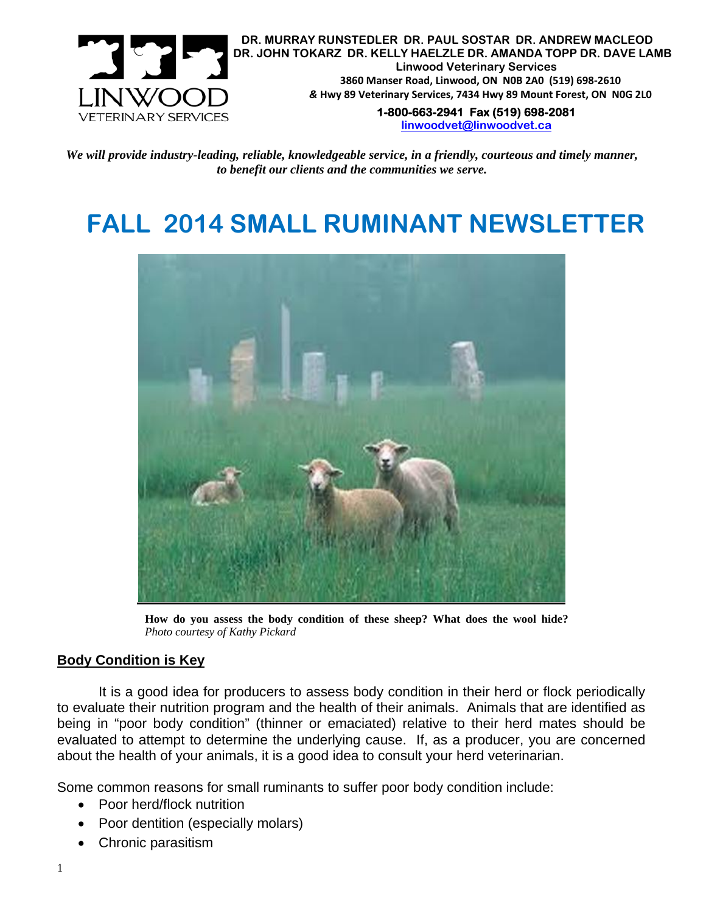

**DR. MURRAY RUNSTEDLER DR. PAUL SOSTAR DR. ANDREW MACLEOD DR. JOHN TOKARZ DR. KELLY HAELZLE DR. AMANDA TOPP DR. DAVE LAMB Linwood Veterinary Services 3860 Manser Road, Linwood, ON N0B 2A0 (519) 698-2610**  *&* **Hwy 89 Veterinary Services, 7434 Hwy 89 Mount Forest, ON N0G 2L0** 

**1-800-663-2941 Fax (519) 698-2081 linwoodvet@linwoodvet.ca**

*We will provide industry-leading, reliable, knowledgeable service, in a friendly, courteous and timely manner, to benefit our clients and the communities we serve.* 

# **FALL 2014 SMALL RUMINANT NEWSLETTER**



**How do you assess the body condition of these sheep? What does the wool hide?** *Photo courtesy of Kathy Pickard* 

#### **Body Condition is Key**

 It is a good idea for producers to assess body condition in their herd or flock periodically to evaluate their nutrition program and the health of their animals. Animals that are identified as being in "poor body condition" (thinner or emaciated) relative to their herd mates should be evaluated to attempt to determine the underlying cause. If, as a producer, you are concerned about the health of your animals, it is a good idea to consult your herd veterinarian.

Some common reasons for small ruminants to suffer poor body condition include:

- Poor herd/flock nutrition
- Poor dentition (especially molars)
- Chronic parasitism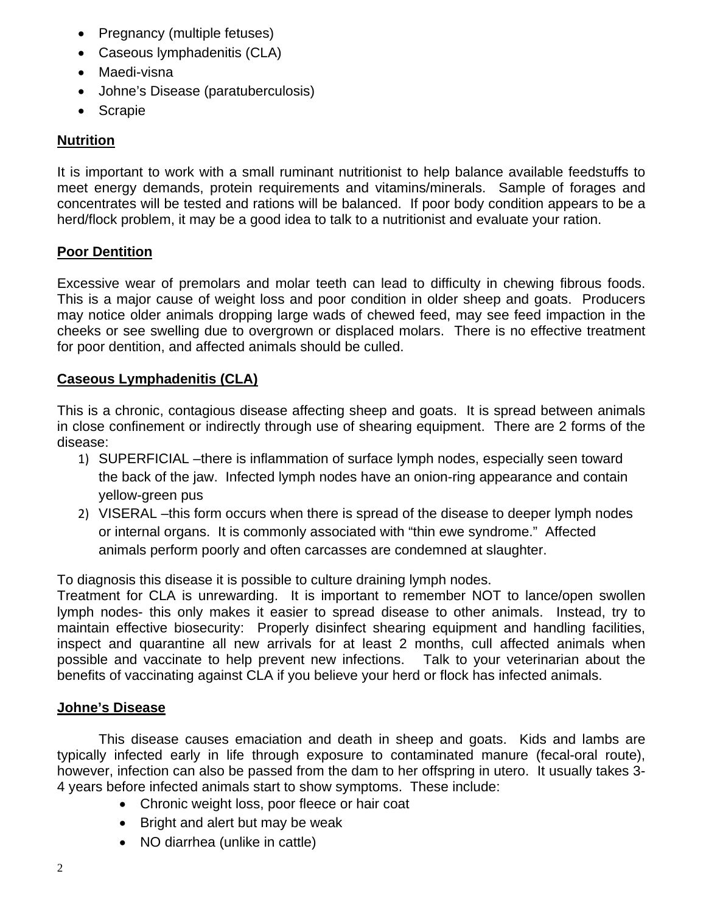- Pregnancy (multiple fetuses)
- Caseous lymphadenitis (CLA)
- Maedi-visna
- Johne's Disease (paratuberculosis)
- Scrapie

## **Nutrition**

It is important to work with a small ruminant nutritionist to help balance available feedstuffs to meet energy demands, protein requirements and vitamins/minerals. Sample of forages and concentrates will be tested and rations will be balanced. If poor body condition appears to be a herd/flock problem, it may be a good idea to talk to a nutritionist and evaluate your ration.

## **Poor Dentition**

Excessive wear of premolars and molar teeth can lead to difficulty in chewing fibrous foods. This is a major cause of weight loss and poor condition in older sheep and goats. Producers may notice older animals dropping large wads of chewed feed, may see feed impaction in the cheeks or see swelling due to overgrown or displaced molars. There is no effective treatment for poor dentition, and affected animals should be culled.

## **Caseous Lymphadenitis (CLA)**

This is a chronic, contagious disease affecting sheep and goats. It is spread between animals in close confinement or indirectly through use of shearing equipment. There are 2 forms of the disease:

- 1) SUPERFICIAL –there is inflammation of surface lymph nodes, especially seen toward the back of the jaw. Infected lymph nodes have an onion-ring appearance and contain yellow-green pus
- 2) VISERAL –this form occurs when there is spread of the disease to deeper lymph nodes or internal organs. It is commonly associated with "thin ewe syndrome." Affected animals perform poorly and often carcasses are condemned at slaughter.

To diagnosis this disease it is possible to culture draining lymph nodes.

Treatment for CLA is unrewarding. It is important to remember NOT to lance/open swollen lymph nodes- this only makes it easier to spread disease to other animals. Instead, try to maintain effective biosecurity: Properly disinfect shearing equipment and handling facilities, inspect and quarantine all new arrivals for at least 2 months, cull affected animals when possible and vaccinate to help prevent new infections. Talk to your veterinarian about the benefits of vaccinating against CLA if you believe your herd or flock has infected animals.

#### **Johne's Disease**

This disease causes emaciation and death in sheep and goats. Kids and lambs are typically infected early in life through exposure to contaminated manure (fecal-oral route), however, infection can also be passed from the dam to her offspring in utero. It usually takes 3- 4 years before infected animals start to show symptoms. These include:

- Chronic weight loss, poor fleece or hair coat
- Bright and alert but may be weak
- NO diarrhea (unlike in cattle)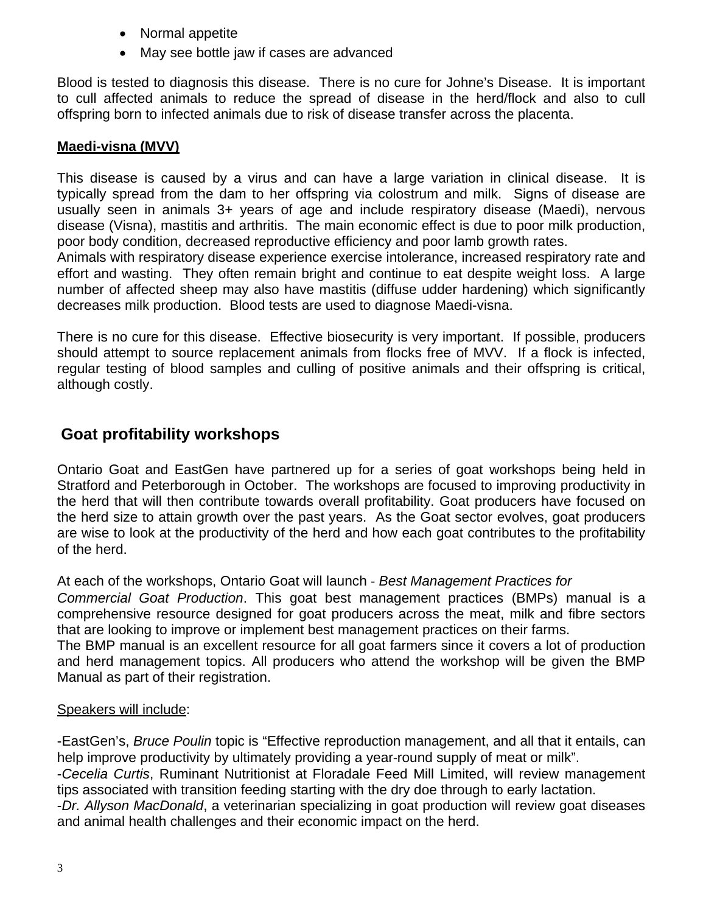- Normal appetite
- May see bottle jaw if cases are advanced

Blood is tested to diagnosis this disease. There is no cure for Johne's Disease. It is important to cull affected animals to reduce the spread of disease in the herd/flock and also to cull offspring born to infected animals due to risk of disease transfer across the placenta.

#### **Maedi-visna (MVV)**

This disease is caused by a virus and can have a large variation in clinical disease. It is typically spread from the dam to her offspring via colostrum and milk. Signs of disease are usually seen in animals 3+ years of age and include respiratory disease (Maedi), nervous disease (Visna), mastitis and arthritis. The main economic effect is due to poor milk production, poor body condition, decreased reproductive efficiency and poor lamb growth rates.

Animals with respiratory disease experience exercise intolerance, increased respiratory rate and effort and wasting. They often remain bright and continue to eat despite weight loss. A large number of affected sheep may also have mastitis (diffuse udder hardening) which significantly decreases milk production. Blood tests are used to diagnose Maedi-visna.

There is no cure for this disease. Effective biosecurity is very important. If possible, producers should attempt to source replacement animals from flocks free of MVV. If a flock is infected, regular testing of blood samples and culling of positive animals and their offspring is critical, although costly.

# **Goat profitability workshops**

Ontario Goat and EastGen have partnered up for a series of goat workshops being held in Stratford and Peterborough in October. The workshops are focused to improving productivity in the herd that will then contribute towards overall profitability. Goat producers have focused on the herd size to attain growth over the past years. As the Goat sector evolves, goat producers are wise to look at the productivity of the herd and how each goat contributes to the profitability of the herd.

At each of the workshops, Ontario Goat will launch ‐ *Best Management Practices for Commercial Goat Production*. This goat best management practices (BMPs) manual is a comprehensive resource designed for goat producers across the meat, milk and fibre sectors that are looking to improve or implement best management practices on their farms.

The BMP manual is an excellent resource for all goat farmers since it covers a lot of production and herd management topics. All producers who attend the workshop will be given the BMP Manual as part of their registration.

#### Speakers will include:

-EastGen's, *Bruce Poulin* topic is "Effective reproduction management, and all that it entails, can help improve productivity by ultimately providing a year-round supply of meat or milk". -*Cecelia Curtis*, Ruminant Nutritionist at Floradale Feed Mill Limited, will review management tips associated with transition feeding starting with the dry doe through to early lactation. -*Dr. Allyson MacDonald*, a veterinarian specializing in goat production will review goat diseases and animal health challenges and their economic impact on the herd.